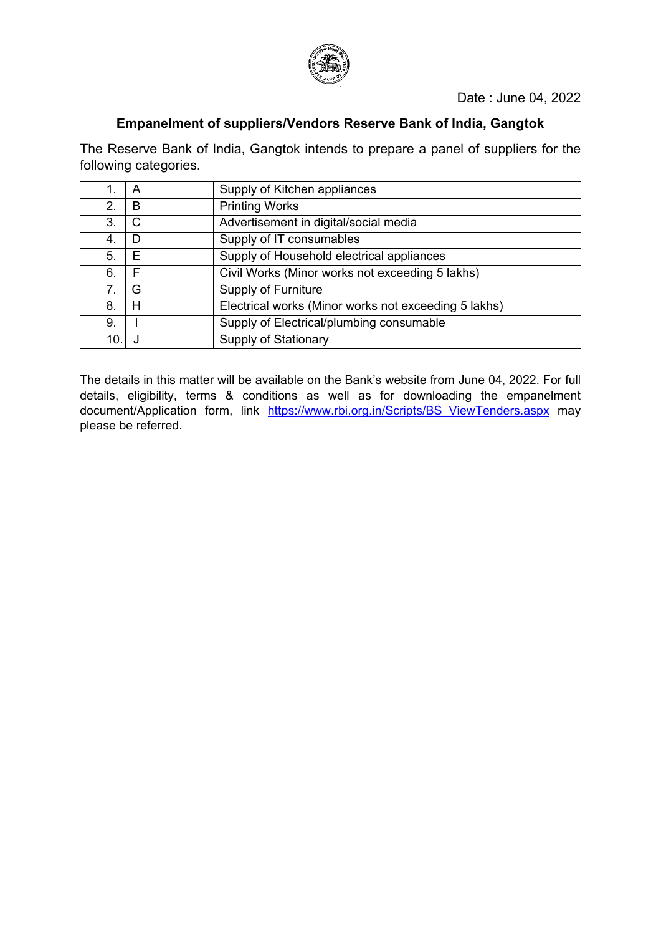

# **Empanelment of suppliers/Vendors Reserve Bank of India, Gangtok**

The Reserve Bank of India, Gangtok intends to prepare a panel of suppliers for the following categories.

|    | A | Supply of Kitchen appliances                         |
|----|---|------------------------------------------------------|
| 2. | B | <b>Printing Works</b>                                |
| 3. | C | Advertisement in digital/social media                |
| 4. | D | Supply of IT consumables                             |
| 5. | Ε | Supply of Household electrical appliances            |
| 6. | F | Civil Works (Minor works not exceeding 5 lakhs)      |
| 7. | G | <b>Supply of Furniture</b>                           |
| 8. | Н | Electrical works (Minor works not exceeding 5 lakhs) |
| 9. |   | Supply of Electrical/plumbing consumable             |
|    |   | <b>Supply of Stationary</b>                          |

The details in this matter will be available on the Bank's website from June 04, 2022. For full details, eligibility, terms & conditions as well as for downloading the empanelment document/Application form, link [https://www.rbi.org.in/Scripts/BS\\_ViewTenders.aspx](https://www.rbi.org.in/Scripts/BS_ViewTenders.aspx) may please be referred.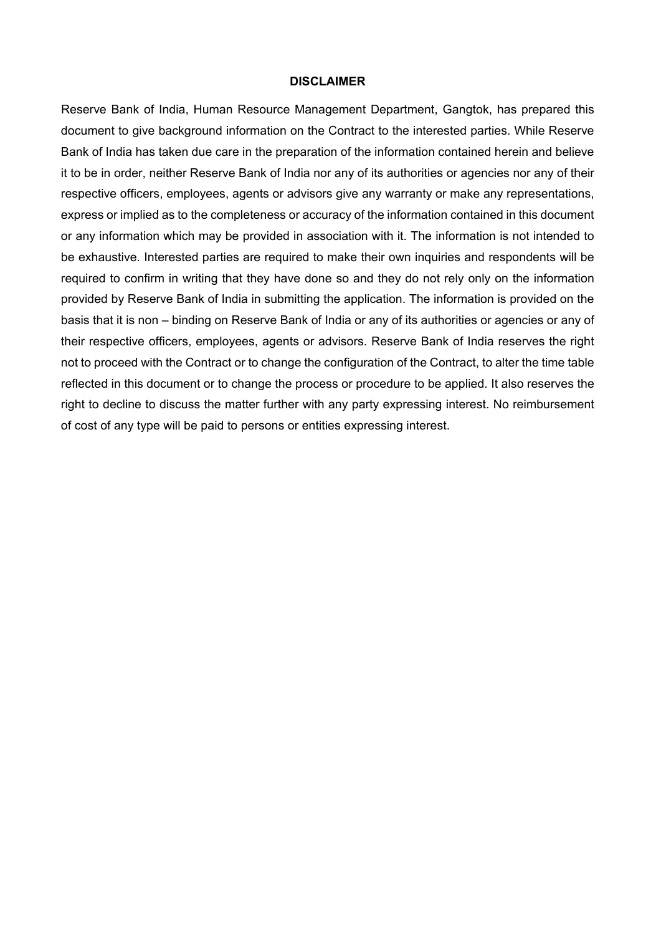#### **DISCLAIMER**

Reserve Bank of India, Human Resource Management Department, Gangtok, has prepared this document to give background information on the Contract to the interested parties. While Reserve Bank of India has taken due care in the preparation of the information contained herein and believe it to be in order, neither Reserve Bank of India nor any of its authorities or agencies nor any of their respective officers, employees, agents or advisors give any warranty or make any representations, express or implied as to the completeness or accuracy of the information contained in this document or any information which may be provided in association with it. The information is not intended to be exhaustive. Interested parties are required to make their own inquiries and respondents will be required to confirm in writing that they have done so and they do not rely only on the information provided by Reserve Bank of India in submitting the application. The information is provided on the basis that it is non – binding on Reserve Bank of India or any of its authorities or agencies or any of their respective officers, employees, agents or advisors. Reserve Bank of India reserves the right not to proceed with the Contract or to change the configuration of the Contract, to alter the time table reflected in this document or to change the process or procedure to be applied. It also reserves the right to decline to discuss the matter further with any party expressing interest. No reimbursement of cost of any type will be paid to persons or entities expressing interest.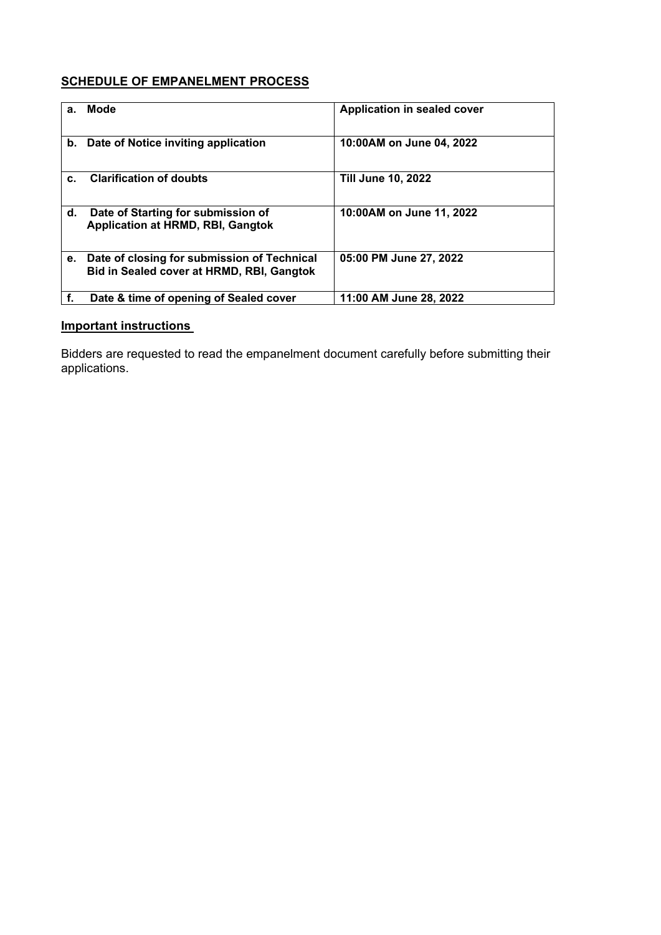# **SCHEDULE OF EMPANELMENT PROCESS**

| а. | Mode                                                                                     | Application in sealed cover |
|----|------------------------------------------------------------------------------------------|-----------------------------|
| b. | Date of Notice inviting application                                                      | 10:00AM on June 04, 2022    |
| C. | <b>Clarification of doubts</b>                                                           | <b>Till June 10, 2022</b>   |
| d. | Date of Starting for submission of<br><b>Application at HRMD, RBI, Gangtok</b>           | 10:00AM on June 11, 2022    |
| е. | Date of closing for submission of Technical<br>Bid in Sealed cover at HRMD, RBI, Gangtok | 05:00 PM June 27, 2022      |
| f. | Date & time of opening of Sealed cover                                                   | 11:00 AM June 28, 2022      |

# **Important instructions**

Bidders are requested to read the empanelment document carefully before submitting their applications.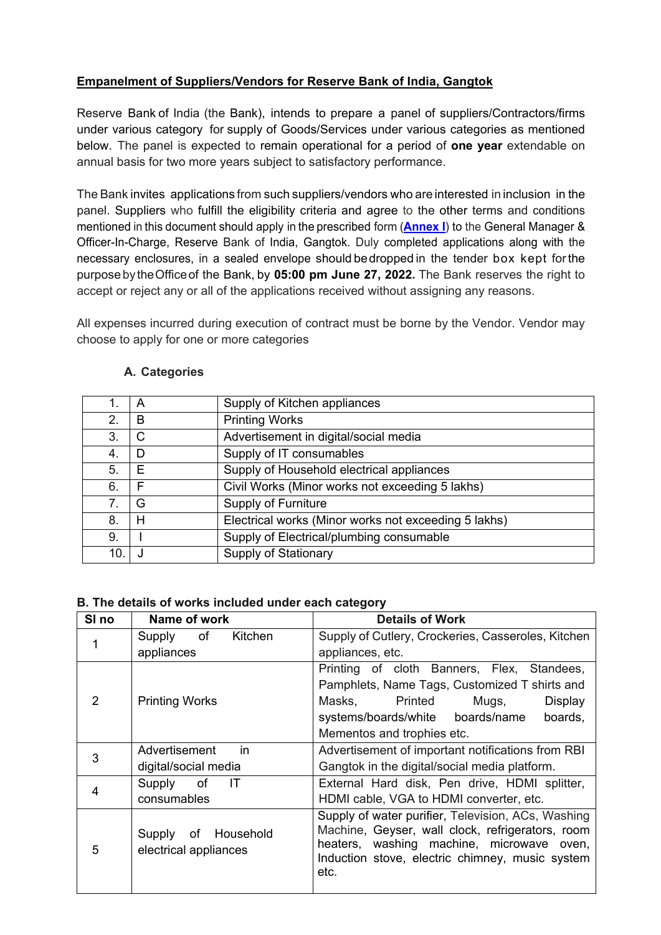# **Empanelment of Suppliers/Vendors for Reserve Bank of India, Gangtok**

Reserve Bank of India (the Bank), intends to prepare a panel of suppliers/Contractors/firms under various category for supply of Goods/Services under various categories as mentioned below. The panel is expected to remain operational for a period of **one year** extendable on annual basis for two more years subject to satisfactory performance.

The Bank invites applications from such suppliers/vendors who are interested in inclusion in the panel. Suppliers who fulfill the eligibility criteria and agree to the other terms and conditions mentioned in this document should apply in the prescribed form (**[Annex I](#page-11-0)**) to the General Manager & Officer-In-Charge, Reserve Bank of India, Gangtok. Duly completed applications along with the necessary enclosures, in a sealed envelope should bedropped in the tender box kept for the purpose bytheOfficeof the Bank, by **05:00 pm June 27, 2022.** The Bank reserves the right to accept or reject any or all of the applications received without assigning any reasons.

All expenses incurred during execution of contract must be borne by the Vendor. Vendor may choose to apply for one or more categories

|    | A | Supply of Kitchen appliances                         |
|----|---|------------------------------------------------------|
| 2. | B | <b>Printing Works</b>                                |
| 3. | C | Advertisement in digital/social media                |
| 4. | D | Supply of IT consumables                             |
| 5. | Е | Supply of Household electrical appliances            |
| 6. | F | Civil Works (Minor works not exceeding 5 lakhs)      |
| 7. | G | <b>Supply of Furniture</b>                           |
| 8. | Н | Electrical works (Minor works not exceeding 5 lakhs) |
| 9. |   | Supply of Electrical/plumbing consumable             |
| 10 |   | <b>Supply of Stationary</b>                          |

# **A. Categories**

## **B. The details of works included under each category**

| SI <sub>no</sub> | Name of work                                                                                                                                                                                                                                                         | <b>Details of Work</b>                             |
|------------------|----------------------------------------------------------------------------------------------------------------------------------------------------------------------------------------------------------------------------------------------------------------------|----------------------------------------------------|
|                  | Supply of<br>Kitchen                                                                                                                                                                                                                                                 | Supply of Cutlery, Crockeries, Casseroles, Kitchen |
|                  | appliances                                                                                                                                                                                                                                                           | appliances, etc.                                   |
|                  |                                                                                                                                                                                                                                                                      | Printing of cloth Banners, Flex, Standees,         |
|                  |                                                                                                                                                                                                                                                                      | Pamphlets, Name Tags, Customized T shirts and      |
| 2                | <b>Printing Works</b>                                                                                                                                                                                                                                                | Mugs,<br>Masks,<br>Printed<br>Display              |
|                  |                                                                                                                                                                                                                                                                      | systems/boards/white boards/name<br>boards,        |
|                  |                                                                                                                                                                                                                                                                      | Mementos and trophies etc.                         |
| 3                | Advertisement<br>in.                                                                                                                                                                                                                                                 | Advertisement of important notifications from RBI  |
|                  | digital/social media                                                                                                                                                                                                                                                 | Gangtok in the digital/social media platform.      |
|                  | of<br>Supply<br>IТ                                                                                                                                                                                                                                                   | External Hard disk, Pen drive, HDMI splitter,      |
| 4                | consumables                                                                                                                                                                                                                                                          | HDMI cable, VGA to HDMI converter, etc.            |
| 5                | Supply of water purifier, Television, ACs, Washing<br>Machine, Geyser, wall clock, refrigerators, room<br>Household<br>Supply<br>of<br>heaters, washing machine, microwave oven,<br>electrical appliances<br>Induction stove, electric chimney, music system<br>etc. |                                                    |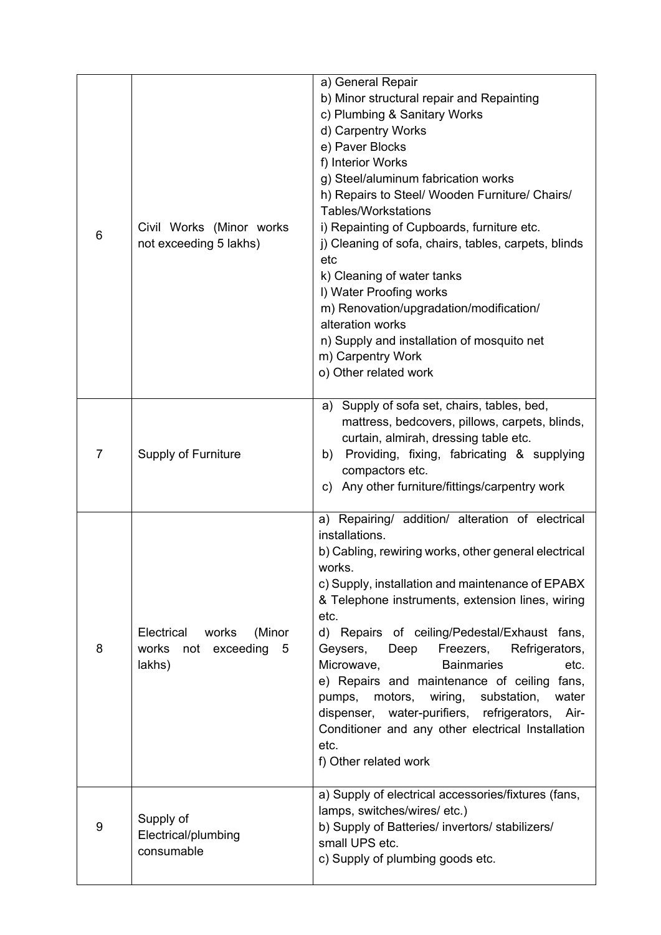| 6              | Civil Works (Minor works<br>not exceeding 5 lakhs)                     | a) General Repair<br>b) Minor structural repair and Repainting<br>c) Plumbing & Sanitary Works<br>d) Carpentry Works<br>e) Paver Blocks<br>f) Interior Works<br>g) Steel/aluminum fabrication works<br>h) Repairs to Steel/ Wooden Furniture/ Chairs/<br><b>Tables/Workstations</b><br>i) Repainting of Cupboards, furniture etc.<br>j) Cleaning of sofa, chairs, tables, carpets, blinds<br>etc<br>k) Cleaning of water tanks<br>I) Water Proofing works<br>m) Renovation/upgradation/modification/<br>alteration works                                                                                                                        |
|----------------|------------------------------------------------------------------------|-------------------------------------------------------------------------------------------------------------------------------------------------------------------------------------------------------------------------------------------------------------------------------------------------------------------------------------------------------------------------------------------------------------------------------------------------------------------------------------------------------------------------------------------------------------------------------------------------------------------------------------------------|
|                |                                                                        | n) Supply and installation of mosquito net<br>m) Carpentry Work<br>o) Other related work                                                                                                                                                                                                                                                                                                                                                                                                                                                                                                                                                        |
| $\overline{7}$ | <b>Supply of Furniture</b>                                             | Supply of sofa set, chairs, tables, bed,<br>a)<br>mattress, bedcovers, pillows, carpets, blinds,<br>curtain, almirah, dressing table etc.<br>Providing, fixing, fabricating & supplying<br>b)<br>compactors etc.<br>Any other furniture/fittings/carpentry work<br>C)                                                                                                                                                                                                                                                                                                                                                                           |
| 8              | Electrical<br>works<br>(Minor<br>works<br>not exceeding<br>5<br>lakhs) | a) Repairing/ addition/ alteration of electrical<br>installations.<br>b) Cabling, rewiring works, other general electrical<br>works.<br>c) Supply, installation and maintenance of EPABX<br>& Telephone instruments, extension lines, wiring<br>etc.<br>d) Repairs of ceiling/Pedestal/Exhaust fans,<br>Geysers,<br>Deep<br>Freezers, Refrigerators,<br>Microwave,<br><b>Bainmaries</b><br>etc.<br>e) Repairs and maintenance of ceiling fans,<br>motors,<br>wiring,<br>substation,<br>pumps,<br>water<br>dispenser, water-purifiers, refrigerators, Air-<br>Conditioner and any other electrical Installation<br>etc.<br>f) Other related work |
| 9              | Supply of<br>Electrical/plumbing<br>consumable                         | a) Supply of electrical accessories/fixtures (fans,<br>lamps, switches/wires/etc.)<br>b) Supply of Batteries/ invertors/ stabilizers/<br>small UPS etc.<br>c) Supply of plumbing goods etc.                                                                                                                                                                                                                                                                                                                                                                                                                                                     |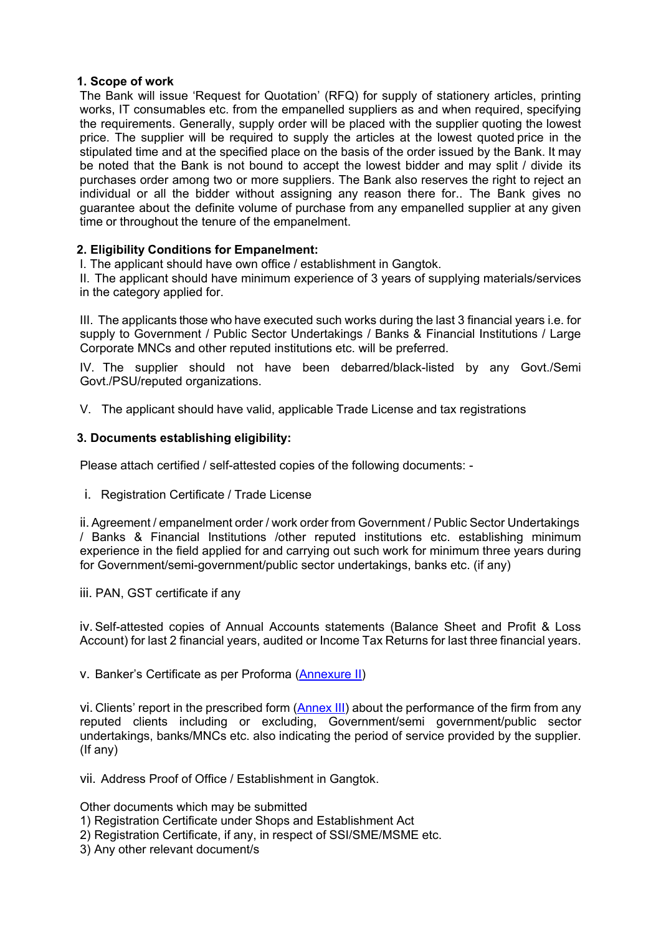### **1. Scope of work**

The Bank will issue 'Request for Quotation' (RFQ) for supply of stationery articles, printing works, IT consumables etc. from the empanelled suppliers as and when required, specifying the requirements. Generally, supply order will be placed with the supplier quoting the lowest price. The supplier will be required to supply the articles at the lowest quoted price in the stipulated time and at the specified place on the basis of the order issued by the Bank. It may be noted that the Bank is not bound to accept the lowest bidder and may split / divide its purchases order among two or more suppliers. The Bank also reserves the right to reject an individual or all the bidder without assigning any reason there for.. The Bank gives no guarantee about the definite volume of purchase from any empanelled supplier at any given time or throughout the tenure of the empanelment.

## **2. Eligibility Conditions for Empanelment:**

I. The applicant should have own office / establishment in Gangtok.

II. The applicant should have minimum experience of 3 years of supplying materials/services in the category applied for.

III. The applicants those who have executed such works during the last 3 financial years i.e. for supply to Government / Public Sector Undertakings / Banks & Financial Institutions / Large Corporate MNCs and other reputed institutions etc. will be preferred.

IV. The supplier should not have been debarred/black-listed by any Govt./Semi Govt./PSU/reputed organizations.

V. The applicant should have valid, applicable Trade License and tax registrations

### **3. Documents establishing eligibility:**

Please attach certified / self-attested copies of the following documents: -

i. Registration Certificate / Trade License

ii.Agreement / empanelment order / work order from Government / Public Sector Undertakings / Banks & Financial Institutions /other reputed institutions etc. establishing minimum experience in the field applied for and carrying out such work for minimum three years during for Government/semi-government/public sector undertakings, banks etc. (if any)

iii. PAN, GST certificate if any

iv.Self-attested copies of Annual Accounts statements (Balance Sheet and Profit & Loss Account) for last 2 financial years, audited or Income Tax Returns for last three financial years.

#### v. Banker's Certificate as per Proforma [\(Annexure II\)](#page-12-0)

vi. Clients' report in the prescribed form [\(Annex](#page-13-0) III) about the performance of the firm from any reputed clients including or excluding, Government/semi government/public sector undertakings, banks/MNCs etc. also indicating the period of service provided by the supplier. (If any)

vii. Address Proof of Office / Establishment in Gangtok.

Other documents which may be submitted

- 1) Registration Certificate under Shops and Establishment Act
- 2) Registration Certificate, if any, in respect of SSI/SME/MSME etc.
- 3) Any other relevant document/s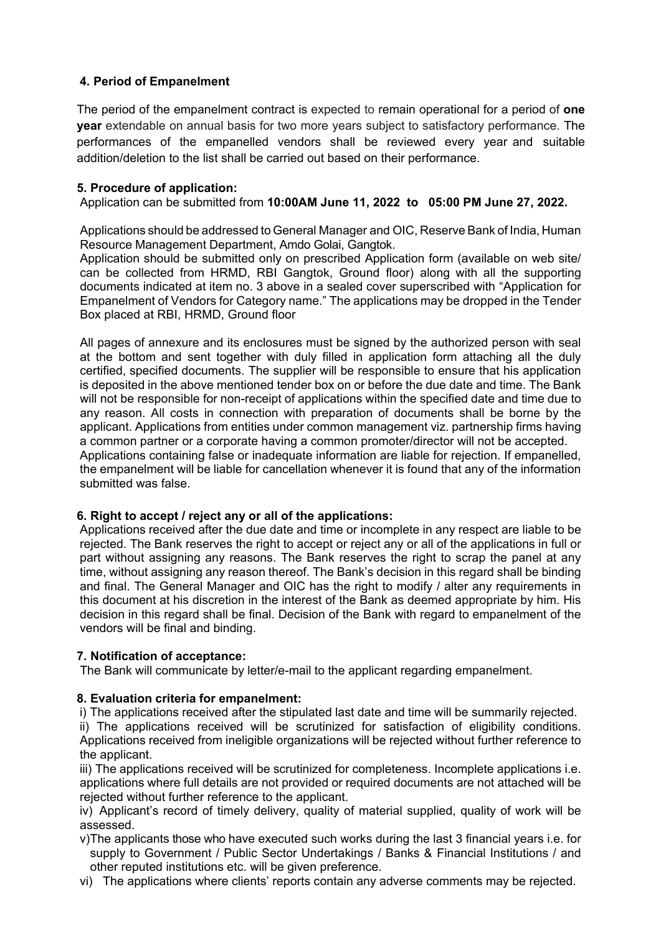# **4. Period of Empanelment**

The period of the empanelment contract is expected to remain operational for a period of **one year** extendable on annual basis for two more years subject to satisfactory performance. The performances of the empanelled vendors shall be reviewed every year and suitable addition/deletion to the list shall be carried out based on their performance.

### **5. Procedure of application:**

Application can be submitted from **10:00AM June 11, 2022 to 05:00 PM June 27, 2022.**

Applications should be addressed to General Manager and OIC, Reserve Bank of India, Human Resource Management Department, Amdo Golai, Gangtok.

Application should be submitted only on prescribed Application form (available on web site/ can be collected from HRMD, RBI Gangtok, Ground floor) along with all the supporting documents indicated at item no. 3 above in a sealed cover superscribed with "Application for Empanelment of Vendors for Category name." The applications may be dropped in the Tender Box placed at RBI, HRMD, Ground floor

All pages of annexure and its enclosures must be signed by the authorized person with seal at the bottom and sent together with duly filled in application form attaching all the duly certified, specified documents. The supplier will be responsible to ensure that his application is deposited in the above mentioned tender box on or before the due date and time. The Bank will not be responsible for non-receipt of applications within the specified date and time due to any reason. All costs in connection with preparation of documents shall be borne by the applicant. Applications from entities under common management viz. partnership firms having a common partner or a corporate having a common promoter/director will not be accepted. Applications containing false or inadequate information are liable for rejection. If empanelled, the empanelment will be liable for cancellation whenever it is found that any of the information submitted was false.

#### **6. Right to accept / reject any or all of the applications:**

Applications received after the due date and time or incomplete in any respect are liable to be rejected. The Bank reserves the right to accept or reject any or all of the applications in full or part without assigning any reasons. The Bank reserves the right to scrap the panel at any time, without assigning any reason thereof. The Bank's decision in this regard shall be binding and final. The General Manager and OIC has the right to modify / alter any requirements in this document at his discretion in the interest of the Bank as deemed appropriate by him. His decision in this regard shall be final. Decision of the Bank with regard to empanelment of the vendors will be final and binding.

## **7. Notification of acceptance:**

The Bank will communicate by letter/e-mail to the applicant regarding empanelment.

## **8. Evaluation criteria for empanelment:**

i) The applications received after the stipulated last date and time will be summarily rejected.

ii) The applications received will be scrutinized for satisfaction of eligibility conditions. Applications received from ineligible organizations will be rejected without further reference to the applicant.

iii) The applications received will be scrutinized for completeness. Incomplete applications i.e. applications where full details are not provided or required documents are not attached will be rejected without further reference to the applicant.

iv) Applicant's record of timely delivery, quality of material supplied, quality of work will be assessed.

- v)The applicants those who have executed such works during the last 3 financial years i.e. for supply to Government / Public Sector Undertakings / Banks & Financial Institutions / and other reputed institutions etc. will be given preference.
- vi) The applications where clients' reports contain any adverse comments may be rejected.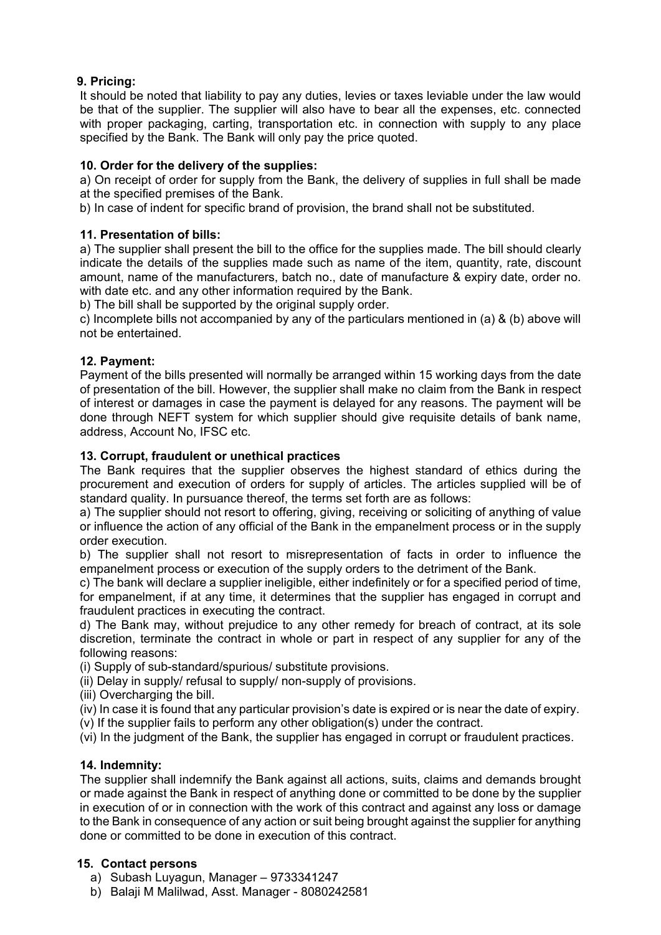# **9. Pricing:**

It should be noted that liability to pay any duties, levies or taxes leviable under the law would be that of the supplier. The supplier will also have to bear all the expenses, etc. connected with proper packaging, carting, transportation etc. in connection with supply to any place specified by the Bank. The Bank will only pay the price quoted.

# **10. Order for the delivery of the supplies:**

a) On receipt of order for supply from the Bank, the delivery of supplies in full shall be made at the specified premises of the Bank.

b) In case of indent for specific brand of provision, the brand shall not be substituted.

# **11. Presentation of bills:**

a) The supplier shall present the bill to the office for the supplies made. The bill should clearly indicate the details of the supplies made such as name of the item, quantity, rate, discount amount, name of the manufacturers, batch no., date of manufacture & expiry date, order no. with date etc. and any other information required by the Bank.

b) The bill shall be supported by the original supply order.

c) Incomplete bills not accompanied by any of the particulars mentioned in (a) & (b) above will not be entertained.

# **12. Payment:**

Payment of the bills presented will normally be arranged within 15 working days from the date of presentation of the bill. However, the supplier shall make no claim from the Bank in respect of interest or damages in case the payment is delayed for any reasons. The payment will be done through NEFT system for which supplier should give requisite details of bank name, address, Account No, IFSC etc.

# **13. Corrupt, fraudulent or unethical practices**

The Bank requires that the supplier observes the highest standard of ethics during the procurement and execution of orders for supply of articles. The articles supplied will be of standard quality. In pursuance thereof, the terms set forth are as follows:

a) The supplier should not resort to offering, giving, receiving or soliciting of anything of value or influence the action of any official of the Bank in the empanelment process or in the supply order execution.

b) The supplier shall not resort to misrepresentation of facts in order to influence the empanelment process or execution of the supply orders to the detriment of the Bank.

c) The bank will declare a supplier ineligible, either indefinitely or for a specified period of time, for empanelment, if at any time, it determines that the supplier has engaged in corrupt and fraudulent practices in executing the contract.

d) The Bank may, without prejudice to any other remedy for breach of contract, at its sole discretion, terminate the contract in whole or part in respect of any supplier for any of the following reasons:

(i) Supply of sub-standard/spurious/ substitute provisions.

(ii) Delay in supply/ refusal to supply/ non-supply of provisions.

(iii) Overcharging the bill.

(iv) In case it is found that any particular provision's date is expired or is near the date of expiry.

(v) If the supplier fails to perform any other obligation(s) under the contract.

(vi) In the judgment of the Bank, the supplier has engaged in corrupt or fraudulent practices.

## **14. Indemnity:**

The supplier shall indemnify the Bank against all actions, suits, claims and demands brought or made against the Bank in respect of anything done or committed to be done by the supplier in execution of or in connection with the work of this contract and against any loss or damage to the Bank in consequence of any action or suit being brought against the supplier for anything done or committed to be done in execution of this contract.

## **15. Contact persons**

- a) Subash Luyagun, Manager 9733341247
- b) Balaji M Malilwad, Asst. Manager 8080242581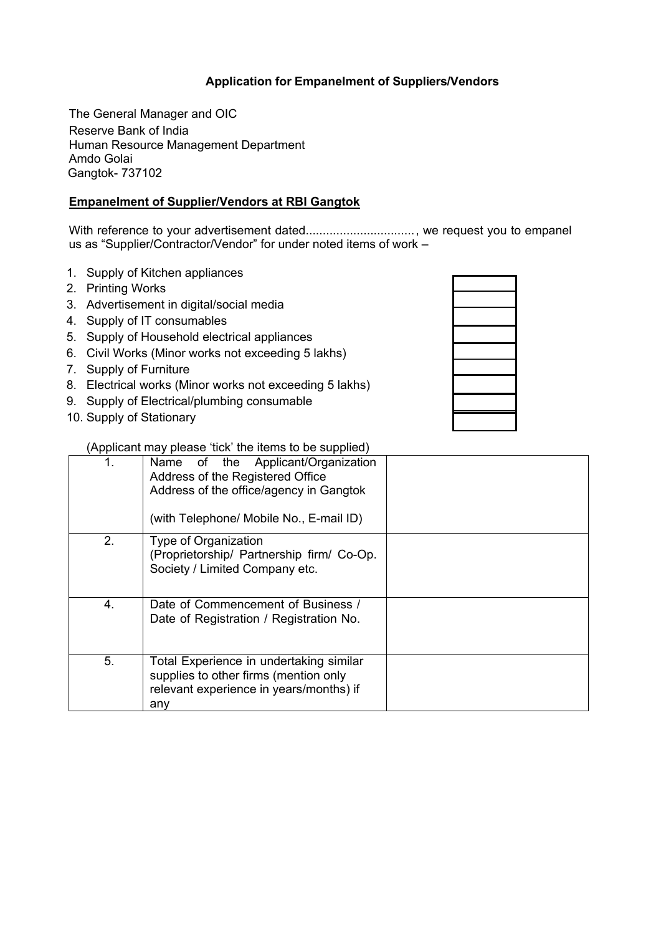# **Application for Empanelment of Suppliers/Vendors**

The General Manager and OIC Reserve Bank of India Human Resource Management Department Amdo Golai Gangtok- 737102

## **Empanelment of Supplier/Vendors at RBI Gangtok**

With reference to your advertisement dated................................., we request you to empanel us as "Supplier/Contractor/Vendor" for under noted items of work –

- 1. Supply of Kitchen appliances
- 2. Printing Works
- 3. Advertisement in digital/social media
- 4. Supply of IT consumables
- 5. Supply of Household electrical appliances
- 6. Civil Works (Minor works not exceeding 5 lakhs)
- 7. Supply of Furniture
- 8. Electrical works (Minor works not exceeding 5 lakhs)
- 9. Supply of Electrical/plumbing consumable
- 10. Supply of Stationary

(Applicant may please 'tick' the items to be supplied)

|    | Name of the Applicant/Organization<br>Address of the Registered Office<br>Address of the office/agency in Gangtok                  |  |
|----|------------------------------------------------------------------------------------------------------------------------------------|--|
|    | (with Telephone/ Mobile No., E-mail ID)                                                                                            |  |
| 2. | Type of Organization<br>(Proprietorship/ Partnership firm/ Co-Op.<br>Society / Limited Company etc.                                |  |
| 4. | Date of Commencement of Business /<br>Date of Registration / Registration No.                                                      |  |
| 5. | Total Experience in undertaking similar<br>supplies to other firms (mention only<br>relevant experience in years/months) if<br>any |  |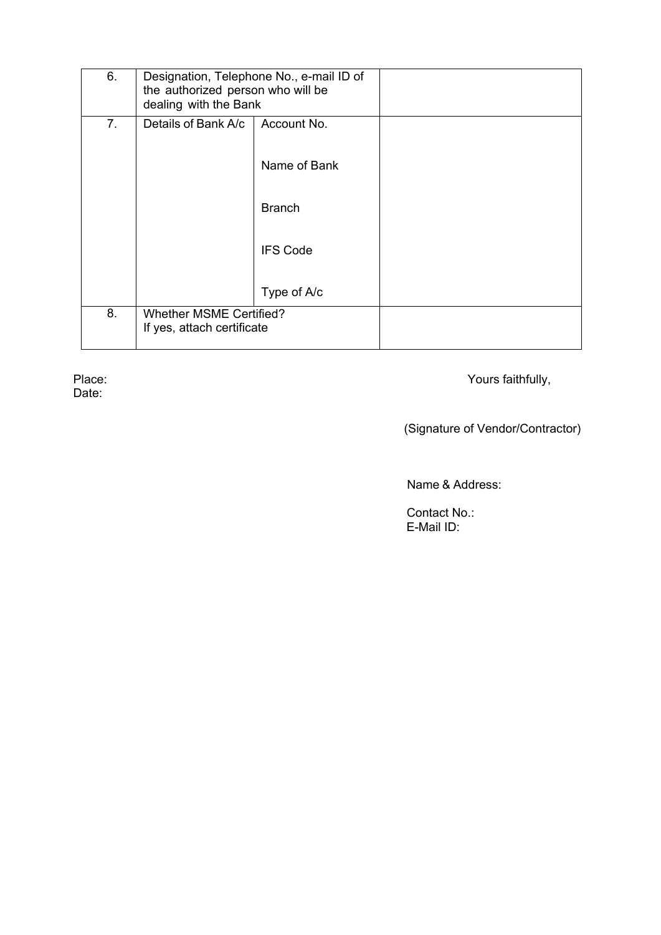| 6.             | Designation, Telephone No., e-mail ID of<br>the authorized person who will be<br>dealing with the Bank |                 |  |
|----------------|--------------------------------------------------------------------------------------------------------|-----------------|--|
| 7 <sub>1</sub> | Details of Bank A/c                                                                                    | Account No.     |  |
|                |                                                                                                        | Name of Bank    |  |
|                |                                                                                                        | <b>Branch</b>   |  |
|                |                                                                                                        | <b>IFS Code</b> |  |
|                |                                                                                                        | Type of A/c     |  |
| 8.             | <b>Whether MSME Certified?</b><br>If yes, attach certificate                                           |                 |  |

Date:

Place: Yours faithfully,

(Signature of Vendor/Contractor)

Name & Address:

 Contact No.: E-Mail ID: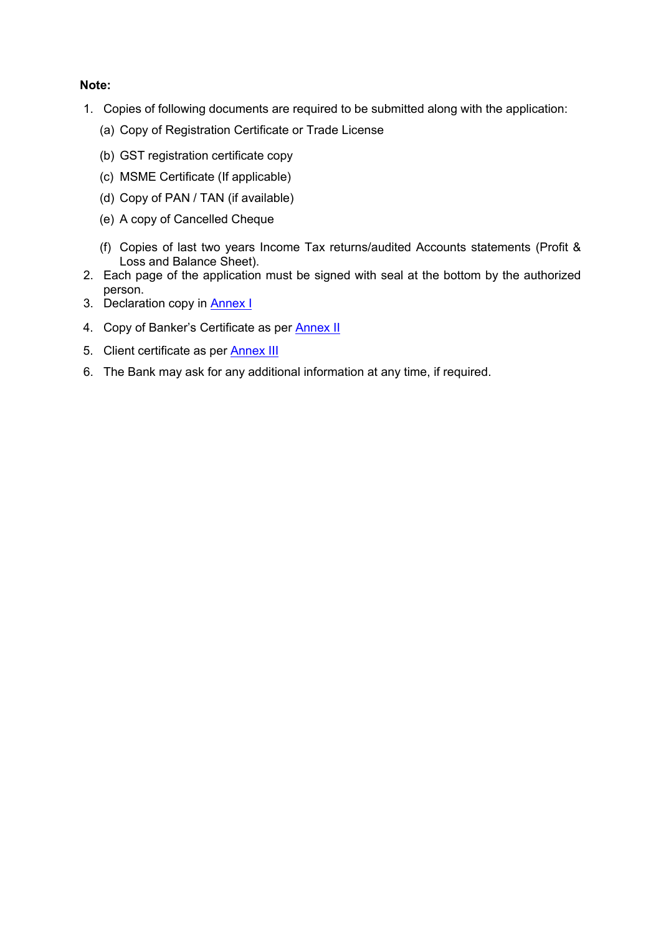## **Note:**

- 1. Copies of following documents are required to be submitted along with the application:
	- (a) Copy of Registration Certificate or Trade License
	- (b) GST registration certificate copy
	- (c) MSME Certificate (If applicable)
	- (d) Copy of PAN / TAN (if available)
	- (e) A copy of Cancelled Cheque
	- (f) Copies of last two years Income Tax returns/audited Accounts statements (Profit & Loss and Balance Sheet).
- 2. Each page of the application must be signed with seal at the bottom by the authorized person.
- 3. Declaration copy in **Annex I**
- 4. Copy of Banker's Certificate as per **Annex II**
- 5. Client certificate as per **[Annex III](#page-13-0)**
- 6. The Bank may ask for any additional information at any time, if required.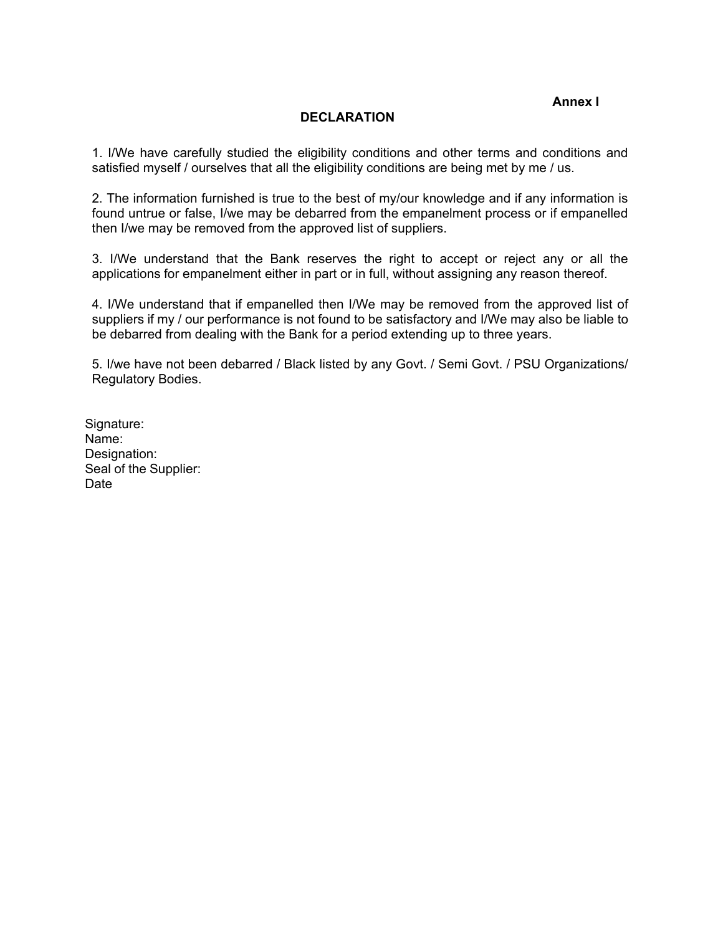**Annex I**

#### **DECLARATION**

<span id="page-11-0"></span>1. I/We have carefully studied the eligibility conditions and other terms and conditions and satisfied myself / ourselves that all the eligibility conditions are being met by me / us.

2. The information furnished is true to the best of my/our knowledge and if any information is found untrue or false, I/we may be debarred from the empanelment process or if empanelled then I/we may be removed from the approved list of suppliers.

3. I/We understand that the Bank reserves the right to accept or reject any or all the applications for empanelment either in part or in full, without assigning any reason thereof.

4. I/We understand that if empanelled then I/We may be removed from the approved list of suppliers if my / our performance is not found to be satisfactory and I/We may also be liable to be debarred from dealing with the Bank for a period extending up to three years.

5. I/we have not been debarred / Black listed by any Govt. / Semi Govt. / PSU Organizations/ Regulatory Bodies.

Signature: Name: Designation: Seal of the Supplier: Date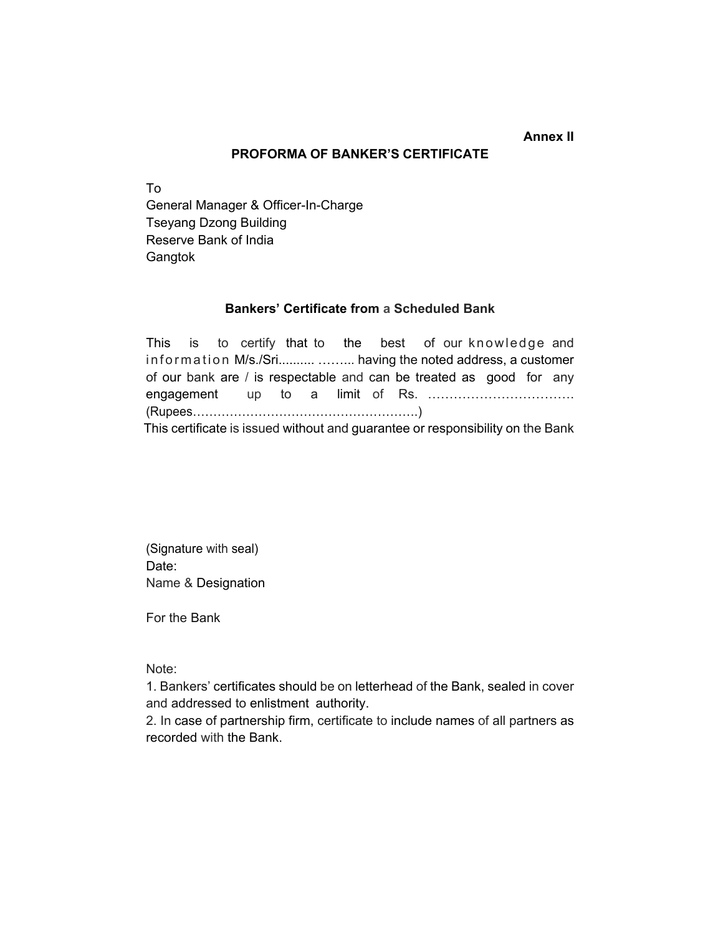### **Annex II**

#### **PROFORMA OF BANKER'S CERTIFICATE**

<span id="page-12-0"></span>To General Manager & Officer-In-Charge Tseyang Dzong Building Reserve Bank of India **Gangtok** 

#### **Bankers' Certificate from a Scheduled Bank**

This is to certify that to the best of our knowledge and information M/s./Sri.......... ......... having the noted address, a customer of our bank are / is respectable and can be treated as good for any engagement up to a limit of Rs. ……………………………. (Rupees……………………………………………….) This certificate is issued without and guarantee or responsibility on the Bank

(Signature with seal) Date: Name & Designation

For the Bank

Note:

1. Bankers' certificates should be on letterhead of the Bank, sealed in cover and addressed to enlistment authority.

2. In case of partnership firm, certificate to include names of all partners as recorded with the Bank.